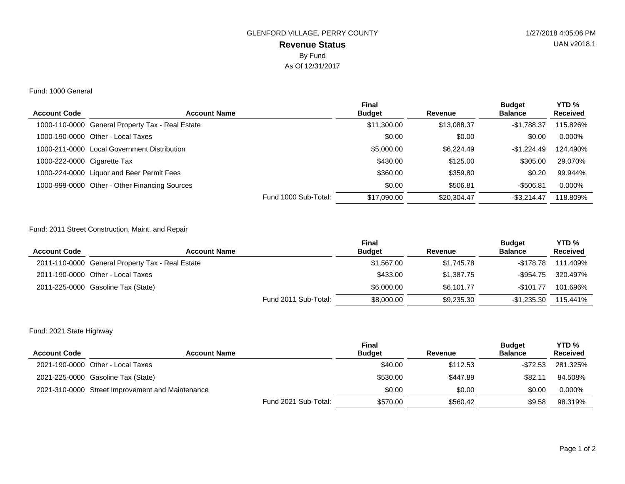# **Revenue Status** GLENFORD VILLAGE, PERRY COUNTY 1/27/2018 4:05:06 PM By Fund As Of 12/31/2017

#### Fund: 1000 General

| <b>Account Code</b>         | <b>Account Name</b>                              | <b>Final</b><br><b>Budget</b>       | Revenue     | <b>Budget</b><br><b>Balance</b> | YTD <sub>%</sub><br><b>Received</b> |
|-----------------------------|--------------------------------------------------|-------------------------------------|-------------|---------------------------------|-------------------------------------|
|                             |                                                  |                                     |             |                                 |                                     |
|                             | 1000-110-0000 General Property Tax - Real Estate | \$11,300.00                         | \$13,088.37 | -\$1.788.37                     | 115.826%                            |
|                             | 1000-190-0000 Other - Local Taxes                | \$0.00                              | \$0.00      | \$0.00                          | $0.000\%$                           |
|                             | 1000-211-0000 Local Government Distribution      | \$5,000.00                          | \$6,224.49  | $-$1.224.49$                    | 124.490%                            |
| 1000-222-0000 Cigarette Tax |                                                  | \$430.00                            | \$125.00    | \$305.00                        | 29.070%                             |
|                             | 1000-224-0000 Liquor and Beer Permit Fees        | \$360.00                            | \$359.80    | \$0.20                          | 99.944%                             |
|                             | 1000-999-0000 Other - Other Financing Sources    | \$0.00                              | \$506.81    | $-$506.81$                      | 0.000%                              |
|                             |                                                  | Fund 1000 Sub-Total:<br>\$17,090.00 | \$20,304.47 | $-$ \$3.214.47                  | 118.809%                            |

### Fund: 2011 Street Construction, Maint. and Repair

| <b>Account Code</b> | <b>Account Name</b>                              | <b>Final</b><br><b>Budget</b> | Revenue    | <b>Budget</b><br><b>Balance</b> | YTD <sub>%</sub><br><b>Received</b> |
|---------------------|--------------------------------------------------|-------------------------------|------------|---------------------------------|-------------------------------------|
|                     | 2011-110-0000 General Property Tax - Real Estate | \$1,567.00                    | \$1.745.78 | -\$178.78                       | 111.409%                            |
|                     | 2011-190-0000 Other - Local Taxes                | \$433.00                      | \$1,387.75 | -\$954.75                       | 320.497%                            |
|                     | 2011-225-0000 Gasoline Tax (State)               | \$6,000,00                    | \$6.101.77 | $-$101.77$                      | 101.696%                            |
|                     | Fund 2011 Sub-Total:                             | \$8,000.00                    | \$9.235.30 | $-$1.235.30$                    | 115.441%                            |

## Fund: 2021 State Highway

| <b>Account Code</b> | <b>Account Name</b>                              | <b>Final</b><br><b>Budget</b> | Revenue  | <b>Budget</b><br><b>Balance</b> | YTD <sub>%</sub><br><b>Received</b> |
|---------------------|--------------------------------------------------|-------------------------------|----------|---------------------------------|-------------------------------------|
|                     | 2021-190-0000 Other - Local Taxes                | \$40.00                       | \$112.53 | -\$72.53                        | 281.325%                            |
|                     | 2021-225-0000 Gasoline Tax (State)               | \$530.00                      | \$447.89 | \$82.11                         | 84.508%                             |
|                     | 2021-310-0000 Street Improvement and Maintenance | \$0.00                        | \$0.00   | \$0.00                          | 0.000%                              |
|                     | Fund 2021 Sub-Total:                             | \$570.00                      | \$560.42 | \$9.58                          | 98.319%                             |